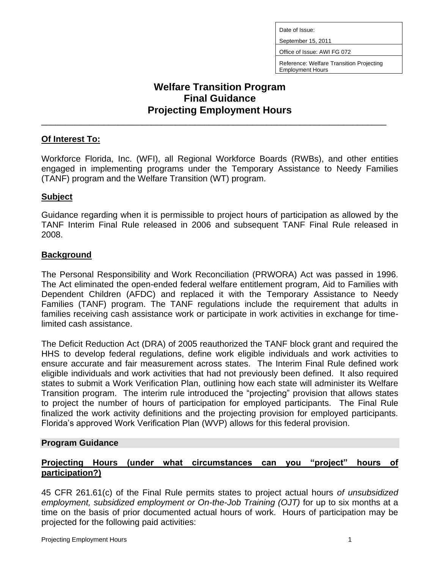Date of Issue:

September 15, 2011

Office of Issue: AWI FG 072

Reference: Welfare Transition Projecting Employment Hours

# **Welfare Transition Program Final Guidance Projecting Employment Hours**

\_\_\_\_\_\_\_\_\_\_\_\_\_\_\_\_\_\_\_\_\_\_\_\_\_\_\_\_\_\_\_\_\_\_\_\_\_\_\_\_\_\_\_\_\_\_\_\_\_\_\_\_\_\_\_\_\_\_\_\_\_\_\_\_\_\_\_\_\_\_\_\_

## **Of Interest To:**

Workforce Florida, Inc. (WFI), all Regional Workforce Boards (RWBs), and other entities engaged in implementing programs under the Temporary Assistance to Needy Families (TANF) program and the Welfare Transition (WT) program.

## **Subject**

Guidance regarding when it is permissible to project hours of participation as allowed by the TANF Interim Final Rule released in 2006 and subsequent TANF Final Rule released in 2008.

## **Background**

The Personal Responsibility and Work Reconciliation (PRWORA) Act was passed in 1996. The Act eliminated the open-ended federal welfare entitlement program, Aid to Families with Dependent Children (AFDC) and replaced it with the Temporary Assistance to Needy Families (TANF) program. The TANF regulations include the requirement that adults in families receiving cash assistance work or participate in work activities in exchange for timelimited cash assistance.

The Deficit Reduction Act (DRA) of 2005 reauthorized the TANF block grant and required the HHS to develop federal regulations, define work eligible individuals and work activities to ensure accurate and fair measurement across states. The Interim Final Rule defined work eligible individuals and work activities that had not previously been defined. It also required states to submit a Work Verification Plan, outlining how each state will administer its Welfare Transition program. The interim rule introduced the "projecting" provision that allows states to project the number of hours of participation for employed participants. The Final Rule finalized the work activity definitions and the projecting provision for employed participants. Florida's approved Work Verification Plan (WVP) allows for this federal provision.

#### **Program Guidance**

## **Projecting Hours (under what circumstances can you "project" hours of participation?)**

45 CFR 261.61(c) of the Final Rule permits states to project actual hours *of unsubsidized employment, subsidized employment or On-the-Job Training (OJT)* for up to six months at a time on the basis of prior documented actual hours of work. Hours of participation may be projected for the following paid activities: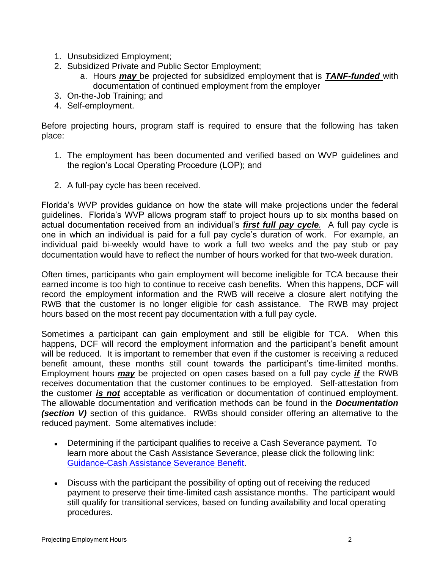- 1. Unsubsidized Employment;
- 2. Subsidized Private and Public Sector Employment;
	- a. Hours *may* be projected for subsidized employment that is *TANF-funded* with documentation of continued employment from the employer
- 3. On-the-Job Training; and
- 4. Self-employment.

Before projecting hours, program staff is required to ensure that the following has taken place:

- 1. The employment has been documented and verified based on WVP guidelines and the region's Local Operating Procedure (LOP); and
- 2. A full-pay cycle has been received.

Florida's WVP provides guidance on how the state will make projections under the federal guidelines. Florida's WVP allows program staff to project hours up to six months based on actual documentation received from an individual's *first full pay cycle.* A full pay cycle is one in which an individual is paid for a full pay cycle's duration of work. For example, an individual paid bi-weekly would have to work a full two weeks and the pay stub or pay documentation would have to reflect the number of hours worked for that two-week duration.

Often times, participants who gain employment will become ineligible for TCA because their earned income is too high to continue to receive cash benefits. When this happens, DCF will record the employment information and the RWB will receive a closure alert notifying the RWB that the customer is no longer eligible for cash assistance. The RWB may project hours based on the most recent pay documentation with a full pay cycle.

Sometimes a participant can gain employment and still be eligible for TCA. When this happens, DCF will record the employment information and the participant's benefit amount will be reduced. It is important to remember that even if the customer is receiving a reduced benefit amount, these months still count towards the participant's time-limited months. Employment hours *may* be projected on open cases based on a full pay cycle *if* the RWB receives documentation that the customer continues to be employed. Self-attestation from the customer *is not* acceptable as verification or documentation of continued employment. The allowable documentation and verification methods can be found in the *Documentation (section V)* section of this guidance. RWBs should consider offering an alternative to the reduced payment. Some alternatives include:

- Determining if the participant qualifies to receive a Cash Severance payment. To learn more about the Cash Assistance Severance, please click the following link: [Guidance-Cash Assistance Severance Benefit.](http://www.floridajobs.org/pdg/guidancepapers/024%20CashAssistanceSeveranceBenefWTPrev012104.rtf)
- Discuss with the participant the possibility of opting out of receiving the reduced payment to preserve their time-limited cash assistance months. The participant would still qualify for transitional services, based on funding availability and local operating procedures.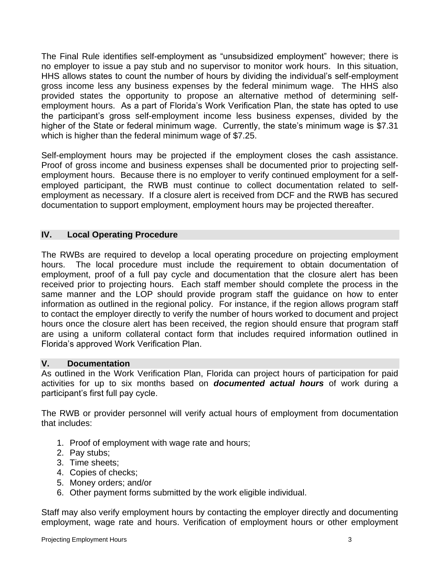The Final Rule identifies self-employment as "unsubsidized employment" however; there is no employer to issue a pay stub and no supervisor to monitor work hours. In this situation, HHS allows states to count the number of hours by dividing the individual's self-employment gross income less any business expenses by the federal minimum wage. The HHS also provided states the opportunity to propose an alternative method of determining selfemployment hours. As a part of Florida's Work Verification Plan, the state has opted to use the participant's gross self-employment income less business expenses, divided by the higher of the State or federal minimum wage. Currently, the state's minimum wage is \$7.31 which is higher than the federal minimum wage of \$7.25.

Self-employment hours may be projected if the employment closes the cash assistance. Proof of gross income and business expenses shall be documented prior to projecting selfemployment hours. Because there is no employer to verify continued employment for a selfemployed participant, the RWB must continue to collect documentation related to selfemployment as necessary. If a closure alert is received from DCF and the RWB has secured documentation to support employment, employment hours may be projected thereafter.

## **IV. Local Operating Procedure**

The RWBs are required to develop a local operating procedure on projecting employment hours. The local procedure must include the requirement to obtain documentation of employment, proof of a full pay cycle and documentation that the closure alert has been received prior to projecting hours. Each staff member should complete the process in the same manner and the LOP should provide program staff the guidance on how to enter information as outlined in the regional policy. For instance, if the region allows program staff to contact the employer directly to verify the number of hours worked to document and project hours once the closure alert has been received, the region should ensure that program staff are using a uniform collateral contact form that includes required information outlined in Florida's approved Work Verification Plan.

#### **V. Documentation**

As outlined in the Work Verification Plan, Florida can project hours of participation for paid activities for up to six months based on *documented actual hours* of work during a participant's first full pay cycle.

The RWB or provider personnel will verify actual hours of employment from documentation that includes:

- 1. Proof of employment with wage rate and hours;
- 2. Pay stubs;
- 3. Time sheets;
- 4. Copies of checks;
- 5. Money orders; and/or
- 6. Other payment forms submitted by the work eligible individual.

Staff may also verify employment hours by contacting the employer directly and documenting employment, wage rate and hours. Verification of employment hours or other employment